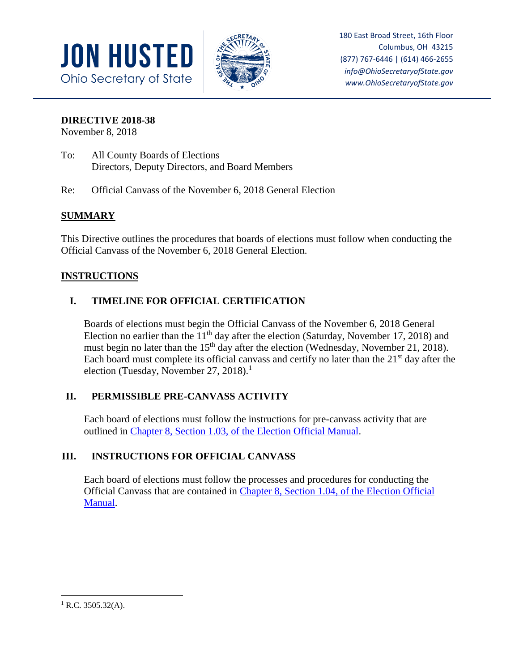



180 East Broad Street, 16th Floor Columbus, OH 43215 (877) 767-6446 | (614) 466-2655 *info@OhioSecretaryofState.gov www.OhioSecretaryofState.gov*

#### **DIRECTIVE 2018-38**

November 8, 2018

- To: All County Boards of Elections Directors, Deputy Directors, and Board Members
- Re: Official Canvass of the November 6, 2018 General Election

# **SUMMARY**

This Directive outlines the procedures that boards of elections must follow when conducting the Official Canvass of the November 6, 2018 General Election.

## **INSTRUCTIONS**

# **I. TIMELINE FOR OFFICIAL CERTIFICATION**

Boards of elections must begin the Official Canvass of the November 6, 2018 General Election no earlier than the  $11<sup>th</sup>$  day after the election (Saturday, November 17, 2018) and must begin no later than the 15<sup>th</sup> day after the election (Wednesday, November 21, 2018). Each board must complete its official canvass and certify no later than the  $21<sup>st</sup>$  day after the election (Tuesday, November 27, 2018).<sup>1</sup>

# **II. PERMISSIBLE PRE-CANVASS ACTIVITY**

Each board of elections must follow the instructions for pre-canvass activity that are outlined in [Chapter 8, Section 1.03, of the Election Official Manual.](https://www.sos.state.oh.us/globalassets/elections/directives/2017/dir2017-13_eom_ch_08.pdf)

# **III. INSTRUCTIONS FOR OFFICIAL CANVASS**

Each board of elections must follow the processes and procedures for conducting the Official Canvass that are contained in [Chapter 8, Section 1.04, of the Election Official](https://www.sos.state.oh.us/globalassets/elections/directives/2017/dir2017-13_eom_ch_08.pdf)  [Manual.](https://www.sos.state.oh.us/globalassets/elections/directives/2017/dir2017-13_eom_ch_08.pdf)

 $\overline{\phantom{a}}$ 

 $1$  R.C. 3505.32(A).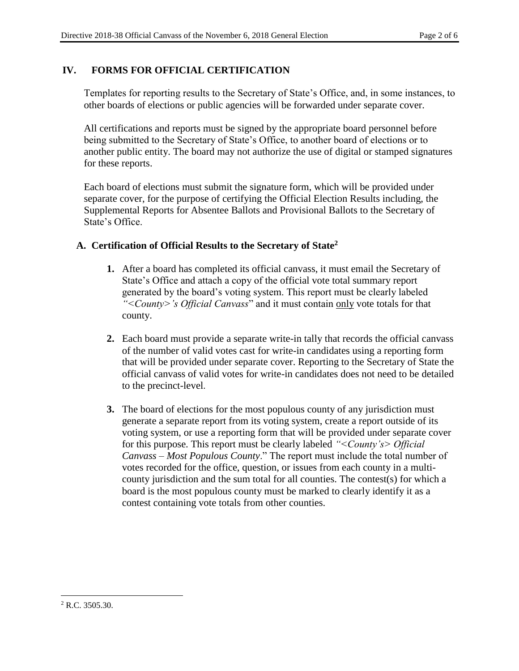### **IV. FORMS FOR OFFICIAL CERTIFICATION**

Templates for reporting results to the Secretary of State's Office, and, in some instances, to other boards of elections or public agencies will be forwarded under separate cover.

All certifications and reports must be signed by the appropriate board personnel before being submitted to the Secretary of State's Office, to another board of elections or to another public entity. The board may not authorize the use of digital or stamped signatures for these reports.

Each board of elections must submit the signature form, which will be provided under separate cover, for the purpose of certifying the Official Election Results including, the Supplemental Reports for Absentee Ballots and Provisional Ballots to the Secretary of State's Office.

#### **A. Certification of Official Results to the Secretary of State<sup>2</sup>**

- **1.** After a board has completed its official canvass, it must email the Secretary of State's Office and attach a copy of the official vote total summary report generated by the board's voting system. This report must be clearly labeled *"<County>'s Official Canvass*" and it must contain only vote totals for that county.
- **2.** Each board must provide a separate write-in tally that records the official canvass of the number of valid votes cast for write-in candidates using a reporting form that will be provided under separate cover. Reporting to the Secretary of State the official canvass of valid votes for write-in candidates does not need to be detailed to the precinct-level.
- **3.** The board of elections for the most populous county of any jurisdiction must generate a separate report from its voting system, create a report outside of its voting system, or use a reporting form that will be provided under separate cover for this purpose. This report must be clearly labeled *"<County's> Official Canvass – Most Populous County*." The report must include the total number of votes recorded for the office, question, or issues from each county in a multicounty jurisdiction and the sum total for all counties. The contest(s) for which a board is the most populous county must be marked to clearly identify it as a contest containing vote totals from other counties.

 $\overline{\phantom{a}}$ 

 $2$  R.C. 3505.30.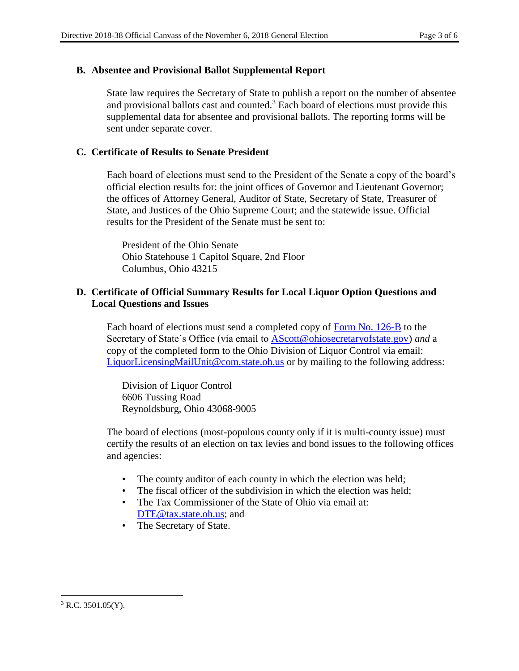#### **B. Absentee and Provisional Ballot Supplemental Report**

State law requires the Secretary of State to publish a report on the number of absentee and provisional ballots cast and counted.<sup>3</sup> Each board of elections must provide this supplemental data for absentee and provisional ballots. The reporting forms will be sent under separate cover.

### **C. Certificate of Results to Senate President**

Each board of elections must send to the President of the Senate a copy of the board's official election results for: the joint offices of Governor and Lieutenant Governor; the offices of Attorney General, Auditor of State, Secretary of State, Treasurer of State, and Justices of the Ohio Supreme Court; and the statewide issue. Official results for the President of the Senate must be sent to:

President of the Ohio Senate Ohio Statehouse 1 Capitol Square, 2nd Floor Columbus, Ohio 43215

#### **D. Certificate of Official Summary Results for Local Liquor Option Questions and Local Questions and Issues**

Each board of elections must send a completed copy of [Form No. 126-B](https://www.sos.state.oh.us/elections/elections-officials/forms-petitions/) to the Secretary of State's Office (via email to [AScott@ohiosecretaryofstate.gov\)](mailto:AScott@ohiosecretaryofstate.gov) *and* a copy of the completed form to the Ohio Division of Liquor Control via email: [LiquorLicensingMailUnit@com.state.oh.us](mailto:LiquorLicensingMailUnit@com.state.oh.us) or by mailing to the following address:

Division of Liquor Control 6606 Tussing Road Reynoldsburg, Ohio 43068-9005

The board of elections (most-populous county only if it is multi-county issue) must certify the results of an election on tax levies and bond issues to the following offices and agencies:

- The county auditor of each county in which the election was held;
- The fiscal officer of the subdivision in which the election was held;
- The Tax Commissioner of the State of Ohio via email at: [DTE@tax.state.oh.us;](mailto:DTE@tax.state.oh.us) and
- The Secretary of State.

 $\overline{\phantom{a}}$  $3$  R.C. 3501.05(Y).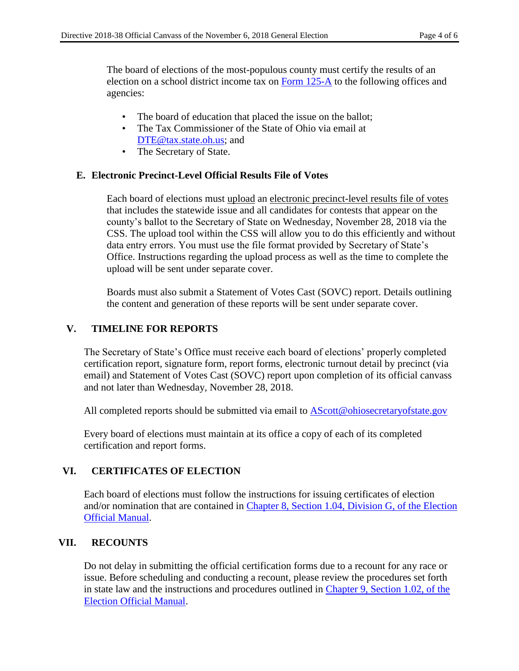The board of elections of the most-populous county must certify the results of an election on a school district income tax on [Form 125-A](https://www.sos.state.oh.us/globalassets/elections/forms/125-a.pdf) to the following offices and agencies:

- The board of education that placed the issue on the ballot;
- The Tax Commissioner of the State of Ohio via email at [DTE@tax.state.oh.us;](mailto:DTE@tax.state.oh.us) and
- The Secretary of State.

### **E. Electronic Precinct-Level Official Results File of Votes**

Each board of elections must upload an electronic precinct-level results file of votes that includes the statewide issue and all candidates for contests that appear on the county's ballot to the Secretary of State on Wednesday, November 28, 2018 via the CSS. The upload tool within the CSS will allow you to do this efficiently and without data entry errors. You must use the file format provided by Secretary of State's Office. Instructions regarding the upload process as well as the time to complete the upload will be sent under separate cover.

Boards must also submit a Statement of Votes Cast (SOVC) report. Details outlining the content and generation of these reports will be sent under separate cover.

### **V. TIMELINE FOR REPORTS**

The Secretary of State's Office must receive each board of elections' properly completed certification report, signature form, report forms, electronic turnout detail by precinct (via email) and Statement of Votes Cast (SOVC) report upon completion of its official canvass and not later than Wednesday, November 28, 2018.

All completed reports should be submitted via email to [AScott@ohiosecretaryofstate.gov](mailto:AScott@ohiosecretaryofstate.gov)

Every board of elections must maintain at its office a copy of each of its completed certification and report forms.

## **VI. CERTIFICATES OF ELECTION**

Each board of elections must follow the instructions for issuing certificates of election and/or nomination that are contained in [Chapter 8, Section 1.04, Division G, of the Election](https://www.sos.state.oh.us/globalassets/elections/directives/2017/dir2017-13_eom_ch_08.pdf)  [Official Manual.](https://www.sos.state.oh.us/globalassets/elections/directives/2017/dir2017-13_eom_ch_08.pdf)

#### **VII. RECOUNTS**

Do not delay in submitting the official certification forms due to a recount for any race or issue. Before scheduling and conducting a recount, please review the procedures set forth in state law and the instructions and procedures outlined in [Chapter 9, Section 1.02, of the](https://www.sos.state.oh.us/globalassets/elections/directives/2017/dir2017-14_eom_ch_09.pdf)  [Election Official Manual.](https://www.sos.state.oh.us/globalassets/elections/directives/2017/dir2017-14_eom_ch_09.pdf)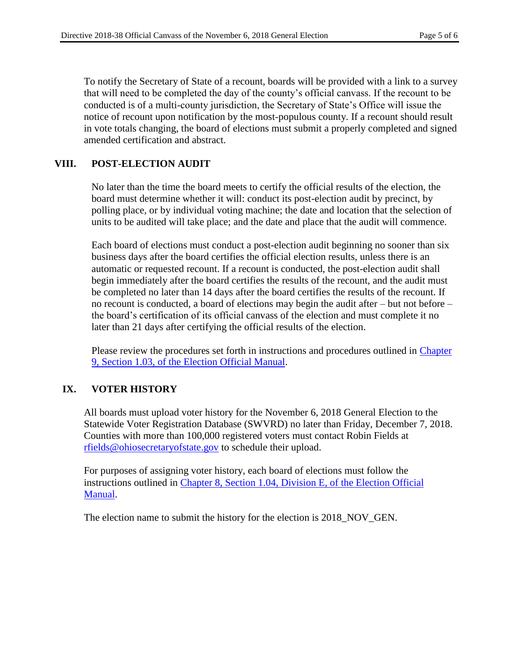To notify the Secretary of State of a recount, boards will be provided with a link to a survey that will need to be completed the day of the county's official canvass. If the recount to be conducted is of a multi-county jurisdiction, the Secretary of State's Office will issue the notice of recount upon notification by the most-populous county. If a recount should result in vote totals changing, the board of elections must submit a properly completed and signed amended certification and abstract.

## **VIII. POST-ELECTION AUDIT**

No later than the time the board meets to certify the official results of the election, the board must determine whether it will: conduct its post-election audit by precinct, by polling place, or by individual voting machine; the date and location that the selection of units to be audited will take place; and the date and place that the audit will commence.

Each board of elections must conduct a post-election audit beginning no sooner than six business days after the board certifies the official election results, unless there is an automatic or requested recount. If a recount is conducted, the post-election audit shall begin immediately after the board certifies the results of the recount, and the audit must be completed no later than 14 days after the board certifies the results of the recount. If no recount is conducted, a board of elections may begin the audit after – but not before – the board's certification of its official canvass of the election and must complete it no later than 21 days after certifying the official results of the election.

Please review the procedures set forth in instructions and procedures outlined in [Chapter](https://www.sos.state.oh.us/globalassets/elections/directives/2017/dir2017-14_eom_ch_09.pdf)  [9, Section 1.03, of the Election Official Manual.](https://www.sos.state.oh.us/globalassets/elections/directives/2017/dir2017-14_eom_ch_09.pdf)

## **IX. VOTER HISTORY**

All boards must upload voter history for the November 6, 2018 General Election to the Statewide Voter Registration Database (SWVRD) no later than Friday, December 7, 2018. Counties with more than 100,000 registered voters must contact Robin Fields at [rfields@ohiosecretaryofstate.gov](mailto:rfields@ohiosecretaryofstate.gov) to schedule their upload.

For purposes of assigning voter history, each board of elections must follow the instructions outlined in [Chapter 8, Section 1.04, Division E, of the Election Official](https://www.sos.state.oh.us/globalassets/elections/directives/2017/dir2017-13_eom_ch_08.pdf)  [Manual.](https://www.sos.state.oh.us/globalassets/elections/directives/2017/dir2017-13_eom_ch_08.pdf)

The election name to submit the history for the election is 2018 NOV GEN.